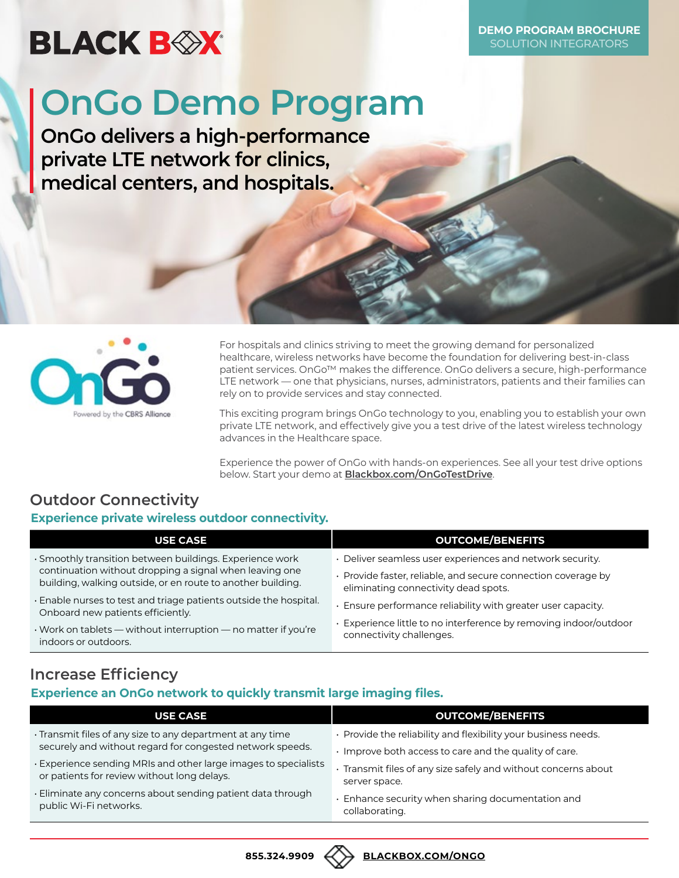## **BLACK BOX**

**DEMO PROGRAM BROCHURE** SOLUTION INTEGRATORS

# **OnGo Demo Program**

**OnGo delivers a high-performance private LTE network for clinics, medical centers, and hospitals.**



For hospitals and clinics striving to meet the growing demand for personalized healthcare, wireless networks have become the foundation for delivering best-in-class patient services. OnGo™ makes the difference. OnGo delivers a secure, high-performance LTE network — one that physicians, nurses, administrators, patients and their families can rely on to provide services and stay connected.

This exciting program brings OnGo technology to you, enabling you to establish your own private LTE network, and effectively give you a test drive of the latest wireless technology advances in the Healthcare space.

Experience the power of OnGo with hands-on experiences. See all your test drive options below. Start your demo at **[Blackbox.com/OnGoTestDrive](https://go.bboxservices.com/l/769553/2021-11-11/mw5yx7)**.

## **Outdoor Connectivity**

#### **Experience private wireless outdoor connectivity.**

| <b>USE CASE</b>                                                                                                        | <b>OUTCOME/BENEFITS</b>                                                                               |
|------------------------------------------------------------------------------------------------------------------------|-------------------------------------------------------------------------------------------------------|
| · Smoothly transition between buildings. Experience work                                                               | • Deliver seamless user experiences and network security.                                             |
| continuation without dropping a signal when leaving one<br>building, walking outside, or en route to another building. | · Provide faster, reliable, and secure connection coverage by<br>eliminating connectivity dead spots. |
| · Enable nurses to test and triage patients outside the hospital.<br>Onboard new patients efficiently.                 | . Ensure performance reliability with greater user capacity.                                          |
| $\cdot$ Work on tablets — without interruption — no matter if you're<br>indoors or outdoors.                           | · Experience little to no interference by removing indoor/outdoor<br>connectivity challenges.         |

### **Increase Efficiency**

#### **Experience an OnGo network to quickly transmit large imaging files.**

| <b>USE CASE</b>                                                                                                | <b>OUTCOME/BENEFITS</b>                                                         |
|----------------------------------------------------------------------------------------------------------------|---------------------------------------------------------------------------------|
| · Transmit files of any size to any department at any time                                                     | · Provide the reliability and flexibility your business needs.                  |
| securely and without regard for congested network speeds.                                                      | Improve both access to care and the quality of care.                            |
| · Experience sending MRIs and other large images to specialists<br>or patients for review without long delays. | · Transmit files of any size safely and without concerns about<br>server space. |
| . Eliminate any concerns about sending patient data through<br>public Wi-Fi networks.                          | . Enhance security when sharing documentation and<br>collaborating.             |